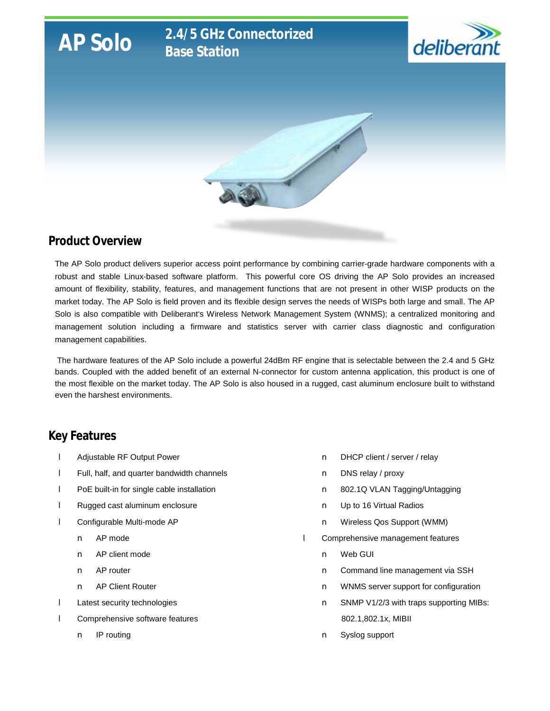## **2.4/5 GHz Connectorized Base Station**





## **Product Overview**

**AP Solo** 

The AP Solo product delivers superior access point performance by combining carrier-grade hardware components with a robust and stable Linux-based software platform. This powerful core OS driving the AP Solo provides an increased amount of flexibility, stability, features, and management functions that are not present in other WISP products on the market today. The AP Solo is field proven and its flexible design serves the needs of WISPs both large and small. The AP Solo is also compatible with Deliberant's Wireless Network Management System (WNMS); a centralized monitoring and management solution including a firmware and statistics server with carrier class diagnostic and configuration management capabilities.

The hardware features of the AP Solo include a powerful 24dBm RF engine that is selectable between the 2.4 and 5 GHz bands. Coupled with the added benefit of an external N-connector for custom antenna application, this product is one of the most flexible on the market today. The AP Solo is also housed in a rugged, cast aluminum enclosure built to withstand even the harshest environments.

## **Key Features**

- **I** Adjustable RF Output Power
- **I** Full, half, and quarter bandwidth channels
- **I** PoE built-in for single cable installation
- **I** Rugged cast aluminum enclosure
- **I** Configurable Multi-mode AP
	- n AP mode
	- n AP client mode
	- n AP router
	- n AP Client Router
- Latest security technologies
- Comprehensive software features
	- **n** IP routing
- **n** DHCP client / server / relay
- n DNS relay / proxy
- n 802.1Q VLAN Tagging/Untagging
- **n** Up to 16 Virtual Radios
- n Wireless Qos Support (WMM)
- **I** Comprehensive management features
	- n Web GUI
	- **n** Command line management via SSH
	- **n** WNMS server support for configuration
	- **n** SNMP V1/2/3 with traps supporting MIBs: 802.1,802.1x, MIBII
	- n Syslog support